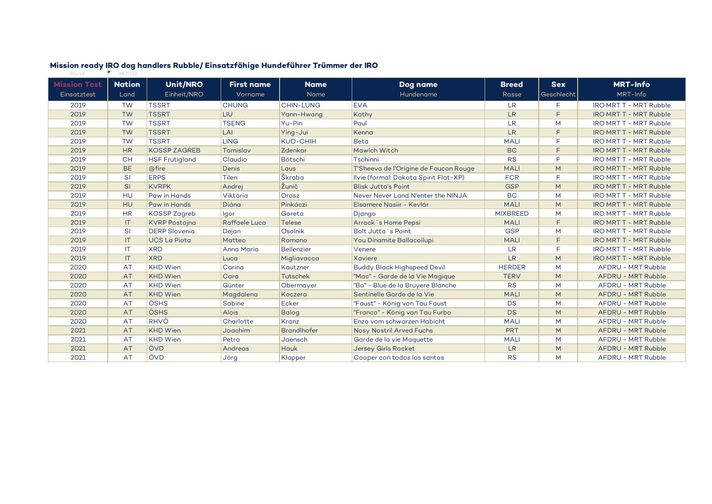| <b>Mission Test</b> | <b>Nation</b> | <b>Unit/NRO</b>       | <b>First name</b> | <b>Name</b>        | Dog name                              | <b>Breed</b>    | <b>Sex</b> | <b>MRT-Info</b>               |
|---------------------|---------------|-----------------------|-------------------|--------------------|---------------------------------------|-----------------|------------|-------------------------------|
| Einsatztest         | Land          | Einheit/NRO           | Vorname           | Name               | Hundename                             | Rasse           | Geschlecht | MRT-Info                      |
| 2019                | <b>TW</b>     | <b>TSSRT</b>          | <b>CHUNG</b>      | <b>CHIN-LUNG</b>   | <b>EVA</b>                            | <b>LR</b>       | F.         | <b>IRO MRT T - MRT Rubble</b> |
| 2019                | <b>TW</b>     | <b>TSSRT</b>          | <b>LIU</b>        | Yann-Hwang         | Kathy                                 | <b>LR</b>       | E          | <b>IRO MRT T - MRT Rubble</b> |
| 2019                | <b>TW</b>     | <b>TSSRT</b>          | <b>TSENG</b>      | Yu-Pin             | Paul                                  | <b>LR</b>       | M          | <b>IRO MRT T - MRT Rubble</b> |
| 2019                | <b>TW</b>     | <b>TSSRT</b>          | LAI               | Ying-Jui           | Kenna                                 | <b>LR</b>       | F          | <b>IRO MRT T - MRT Rubble</b> |
| 2019                | <b>TW</b>     | <b>TSSRT</b>          | <b>LING</b>       | <b>KUO-CHIH</b>    | <b>Beta</b>                           | <b>MALI</b>     | E          | <b>IRO MRT T - MRT Rubble</b> |
| 2019                | <b>HR</b>     | <b>KOSSP ZAGREB</b>   | Tomislav          | Zdenkar            | Mawlch Witch                          | <b>BC</b>       | F          | <b>IRO MRT T - MRT Rubble</b> |
| 2019                | <b>CH</b>     | <b>HSF Frutigland</b> | Claudio           | Bötschi            | Tschinni                              | <b>RS</b>       | $\Box$     | <b>IRO MRT T - MRT Rubble</b> |
| 2019                | <b>BE</b>     | @fire                 | Denis             | Laus               | T'Sheeva de l'Origine de Faucon Rouge | <b>MALI</b>     | M          | <b>IRO MRT T - MRT Rubble</b> |
| 2019                | <b>SI</b>     | <b>ERPS</b>           | Tilen             | Škraba             | Ilvie (formal: Dakota Spirit Flat-XP) | <b>FCR</b>      | E          | <b>IRO MRT T - MRT Rubble</b> |
| 2019                | <b>SI</b>     | <b>KVRPK</b>          | Andrej            | Žunič              | <b>Blisk Jutta's Point</b>            | <b>GSP</b>      | M          | <b>IRO MRT T - MRT Rubble</b> |
| 2019                | HU            | Paw in Hands          | Viktória          | Orosz              | Never Never Land N'enter the NINJA    | <b>BC</b>       | M          | <b>IRO MRT T - MRT Rubble</b> |
| 2019                | HU            | Paw in Hands          | Diána             | Pinkóczi           | Elsamere Nasiir - Keylár              | <b>MALI</b>     | M          | <b>IRO MRT T - MRT Rubble</b> |
| 2019                | <b>HR</b>     | <b>KOSSP Zagreb</b>   | Igor              | Goreta             | Django                                | <b>MIXBREED</b> | M          | <b>IRO MRT T - MRT Rubble</b> |
| 2019                | IT            | <b>KVRP Postojna</b>  | Raffaele Luca     | <b>Telese</b>      | Arrack's Home Pepsi                   | <b>MALI</b>     | F          | <b>IRO MRT T - MRT Rubble</b> |
| 2019                | <b>SI</b>     | <b>DERP Slovenia</b>  | Dejan             | Osolnik            | Bolt Jutta's Point                    | <b>GSP</b>      | M          | <b>IRO MRT T - MRT Rubble</b> |
| 2019                | IT            | <b>UCS La Piota</b>   | Matteo            | Romano             | You Dinamite Ballacoilupi             | <b>MALI</b>     | E          | <b>IRO MRT T - MRT Rubble</b> |
| 2019                | <b>IT</b>     | <b>XRD</b>            | Anna Maria        | <b>Bellenzier</b>  | Venere                                | <b>LR</b>       | F          | <b>IRO MRT T - MRT Rubble</b> |
| 2019                | IT            | <b>XRD</b>            | Luca              | Migliavacca        | Xaviere                               | <b>LR</b>       | M          | <b>IRO MRT T - MRT Rubble</b> |
| 2020                | AT            | <b>KHD</b> Wien       | Carina            | Kautzner           | <b>Buddy Black Highspeed Devil</b>    | <b>HERDER</b>   | M          | AFDRU - MRT Rubble            |
| 2020                | AT            | <b>KHD Wien</b>       | Cara              | <b>Tutschek</b>    | "Mac" - Garde de la Vie Magique       | <b>TERV</b>     | M          | AFDRU - MRT Rubble            |
| 2020                | AT            | <b>KHD</b> Wien       | Günter            | Obermayer          | "Bo" - Blue de la Bruyere Blanche     | <b>RS</b>       | M          | AFDRU - MRT Rubble            |
| 2020                | <b>AT</b>     | <b>KHD Wien</b>       | Magdalena         | Koczera            | Sentinelle Garde de la Vie            | <b>MALI</b>     | M          | AFDRU - MRT Rubble            |
| 2020                | <b>AT</b>     | ÖSHS                  | Sabine            | Ecker              | "Faust" - König von Tau Faust         | DS              | M          | AFDRU - MRT Rubble            |
| 2020                | <b>AT</b>     | ÖSHS                  | <b>Alois</b>      | <b>Balog</b>       | "Franco" - König von Tau Furbo        | <b>DS</b>       | M          | AFDRU - MRT Rubble            |
| 2020                | AT            | <b>RHVÖ</b>           | Charlotte         | Kranz              | Enzo vom schwarzen Habicht            | <b>MALI</b>     | M          | AFDRU - MRT Rubble            |
| 2021                | <b>AT</b>     | <b>KHD Wien</b>       | Joachim           | <b>Brandlhofer</b> | Nosy Nostril Arved Fuchs              | <b>PRT</b>      | M          | AFDRU - MRT Rubble            |
| 2021                | <b>AT</b>     | <b>KHD</b> Wien       | Petra             | Jaensch            | Garde de la vie Maguette              | <b>MALI</b>     | M          | AFDRU - MRT Rubble            |
| 2021                | AT            | ÖVD                   | Andreas           | <b>Hauk</b>        | <b>Jersey Girls Rocket</b>            | <b>LR</b>       | M          | AFDRU - MRT Rubble            |
| 2021                | AT            | ÖVD                   | Jörg              | Klapper            | Cooper con todos los santos           | <b>RS</b>       | M          | AFDRU - MRT Rubble            |

## **Mission ready IRO dog handlers Rubble/ Einsatzfähige Hundeführer Trümmer der IRO** Stand: 06.2022